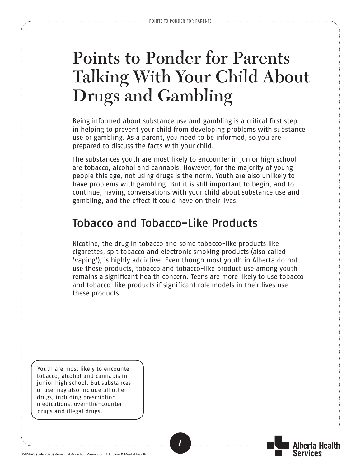# **Points to Ponder for Parents Talking With Your Child About Drugs and Gambling**

Being informed about substance use and gambling is a critical first step in helping to prevent your child from developing problems with substance use or gambling. As a parent, you need to be informed, so you are prepared to discuss the facts with your child.

The substances youth are most likely to encounter in junior high school are tobacco, alcohol and cannabis. However, for the majority of young people this age, not using drugs is the norm. Youth are also unlikely to have problems with gambling. But it is still important to begin, and to continue, having conversations with your child about substance use and gambling, and the effect it could have on their lives.

### Tobacco and Tobacco-Like Products

Nicotine, the drug in tobacco and some tobacco-like products like cigarettes, spit tobacco and electronic smoking products (also called 'vaping'), is highly addictive. Even though most youth in Alberta do not use these products, tobacco and tobacco-like product use among youth remains a significant health concern. Teens are more likely to use tobacco and tobacco-like products if significant role models in their lives use these products.

Youth are most likely to encounter tobacco, alcohol and cannabis in junior high school. But substances of use may also include all other drugs, including prescription medications, over-the-counter drugs and illegal drugs.

*1*

lberta Health

Services

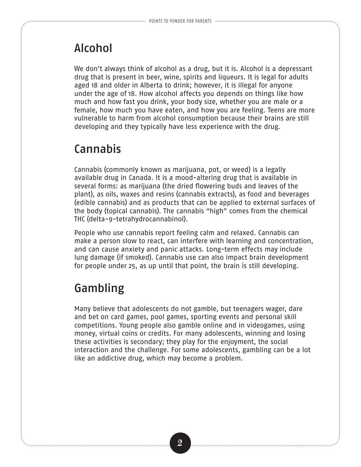### Alcohol

We don't always think of alcohol as a drug, but it is. Alcohol is a depressant drug that is present in beer, wine, spirits and liqueurs. It is legal for adults aged 18 and older in Alberta to drink; however, it is illegal for anyone under the age of 18. How alcohol affects you depends on things like how much and how fast you drink, your body size, whether you are male or a female, how much you have eaten, and how you are feeling. Teens are more vulnerable to harm from alcohol consumption because their brains are still developing and they typically have less experience with the drug.

# Cannabis

Cannabis (commonly known as marijuana, pot, or weed) is a legally available drug in Canada. It is a mood-altering drug that is available in several forms: as marijuana (the dried flowering buds and leaves of the plant), as oils, waxes and resins (cannabis extracts), as food and beverages (edible cannabis) and as products that can be applied to external surfaces of the body (topical cannabis). The cannabis "high" comes from the chemical THC (delta-9-tetrahydrocannabinol).

People who use cannabis report feeling calm and relaxed. Cannabis can make a person slow to react, can interfere with learning and concentration, and can cause anxiety and panic attacks. Long-term effects may include lung damage (if smoked). Cannabis use can also impact brain development for people under 25, as up until that point, the brain is still developing.

## Gambling

Many believe that adolescents do not gamble, but teenagers wager, dare and bet on card games, pool games, sporting events and personal skill competitions. Young people also gamble online and in videogames, using money, virtual coins or credits. For many adolescents, winning and losing these activities is secondary; they play for the enjoyment, the social interaction and the challenge. For some adolescents, gambling can be a lot like an addictive drug, which may become a problem.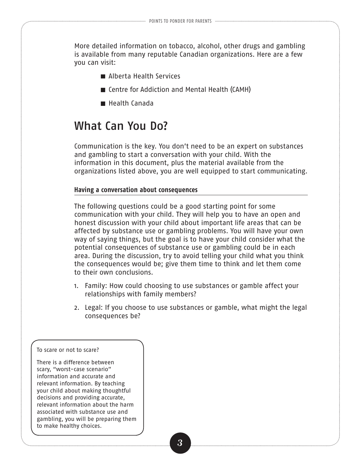More detailed information on tobacco, alcohol, other drugs and gambling is available from many reputable Canadian organizations. Here are a few you can visit:

- Alberta Health Services
- Centre for Addiction and Mental Health (CAMH)
- Health Canada

#### What Can You Do?

Communication is the key. You don't need to be an expert on substances and gambling to start a conversation with your child. With the information in this document, plus the material available from the organizations listed above, you are well equipped to start communicating.

#### **Having a conversation about consequences**

The following questions could be a good starting point for some communication with your child. They will help you to have an open and honest discussion with your child about important life areas that can be affected by substance use or gambling problems. You will have your own way of saying things, but the goal is to have your child consider what the potential consequences of substance use or gambling could be in each area. During the discussion, try to avoid telling your child what you think the consequences would be; give them time to think and let them come to their own conclusions.

- 1. Family: How could choosing to use substances or gamble affect your relationships with family members?
- 2. Legal: If you choose to use substances or gamble, what might the legal consequences be?

#### To scare or not to scare?

There is a difference between scary, "worst-case scenario" information and accurate and relevant information. By teaching your child about making thoughtful decisions and providing accurate, relevant information about the harm associated with substance use and gambling, you will be preparing them to make healthy choices.